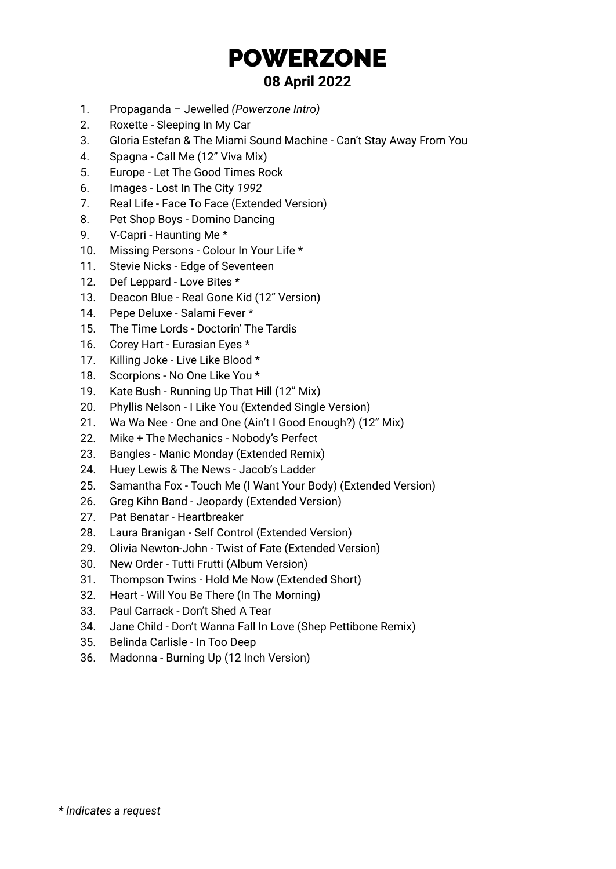# POWERZONE **08 April 2022**

- 1. Propaganda Jewelled *(Powerzone Intro)*
- 2. Roxette Sleeping In My Car
- 3. Gloria Estefan & The Miami Sound Machine Can't Stay Away From You
- 4. Spagna Call Me (12" Viva Mix)
- 5. Europe Let The Good Times Rock
- 6. Images Lost In The City *1992*
- 7. Real Life Face To Face (Extended Version)
- 8. Pet Shop Boys Domino Dancing
- 9. V-Capri Haunting Me \*
- 10. Missing Persons Colour In Your Life \*
- 11. Stevie Nicks Edge of Seventeen
- 12. Def Leppard Love Bites \*
- 13. Deacon Blue Real Gone Kid (12" Version)
- 14. Pepe Deluxe Salami Fever \*
- 15. The Time Lords Doctorin' The Tardis
- 16. Corey Hart Eurasian Eyes \*
- 17. Killing Joke Live Like Blood \*
- 18. Scorpions No One Like You \*
- 19. Kate Bush Running Up That Hill (12" Mix)
- 20. Phyllis Nelson I Like You (Extended Single Version)
- 21. Wa Wa Nee One and One (Ain't I Good Enough?) (12" Mix)
- 22. Mike + The Mechanics Nobody's Perfect
- 23. Bangles Manic Monday (Extended Remix)
- 24. Huey Lewis & The News Jacob's Ladder
- 25. Samantha Fox Touch Me (I Want Your Body) (Extended Version)
- 26. Greg Kihn Band Jeopardy (Extended Version)
- 27. Pat Benatar Heartbreaker
- 28. Laura Branigan Self Control (Extended Version)
- 29. Olivia Newton-John Twist of Fate (Extended Version)
- 30. New Order Tutti Frutti (Album Version)
- 31. Thompson Twins Hold Me Now (Extended Short)
- 32. Heart Will You Be There (In The Morning)
- 33. Paul Carrack Don't Shed A Tear
- 34. Jane Child Don't Wanna Fall In Love (Shep Pettibone Remix)
- 35. Belinda Carlisle In Too Deep
- 36. Madonna Burning Up (12 Inch Version)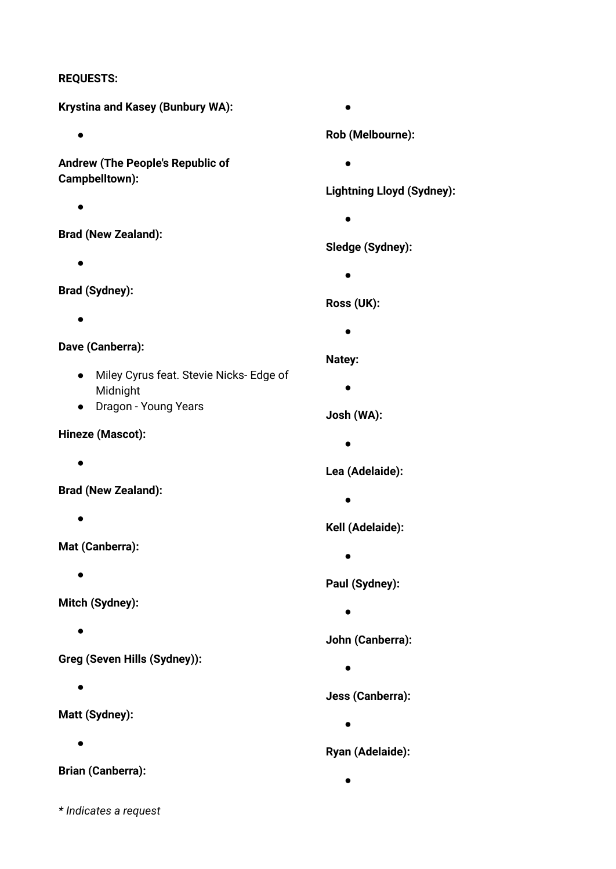#### **REQUESTS:**

**Krystina and Kasey (Bunbury WA):**

 $\bullet$ 

**Andrew (The People's Republic of Campbelltown):**

●

**Brad (New Zealand):**

 $\bullet$ 

**Brad (Sydney):**

●

#### **Dave (Canberra):**

- Miley Cyrus feat. Stevie Nicks- Edge of Midnight
- Dragon Young Years

#### **Hineze (Mascot):**

●

**Brad (New Zealand):**

●

**Mat (Canberra):**

 $\bullet$ 

**Mitch (Sydney):**

●

**Greg (Seven Hills (Sydney)):**

 $\bullet$ 

**Matt (Sydney):**

 $\bullet$ 

**Brian (Canberra):**

●

#### **Rob (Melbourne):**

 $\bullet$ 

#### **Lightning Lloyd (Sydney):**

 $\bullet$ 

#### **Sledge (Sydney):**

 $\bullet$ 

#### **Ross (UK):**

●

#### **Natey:**

 $\bullet$ 

#### **Josh (WA):**

●

#### **Lea (Adelaide):**

 $\bullet$ 

#### **Kell (Adelaide):**

 $\bullet$ 

## **Paul (Sydney):**

 $\bullet$ 

#### **John (Canberra):**

 $\bullet$ 

## **Jess (Canberra):**

 $\bullet$ 

#### **Ryan (Adelaide):**

●

*\* Indicates a request*